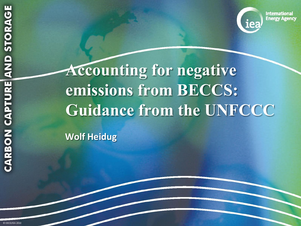**International Energy Agency** 

**Accounting for negative emissions from BECCS: Guidance from the UNFCCC**

**Wolf Heidug**

© OECD/IEA 2010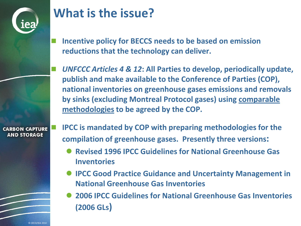

#### **What is the issue?**

- **Incentive policy for BECCS needs to be based on emission reductions that the technology can deliver.**
- *UNFCCC Articles 4 & 12***: All Parties to develop, periodically update, publish and make available to the Conference of Parties (COP), national inventories on greenhouse gases emissions and removals by sinks (excluding Montreal Protocol gases) using comparable methodologies to be agreed by the COP.**

**CARBON CAPTURE AND STORAGE** 

 **IPCC is mandated by COP with preparing methodologies for the compilation of greenhouse gases. Presently three versions:**

- **Revised 1996 IPCC Guidelines for National Greenhouse Gas Inventories**
- **IPCC Good Practice Guidance and Uncertainty Management in National Greenhouse Gas Inventories**
- **2006 IPCC Guidelines for National Greenhouse Gas Inventories (2006 GLs)**

© OECD/IEA 2010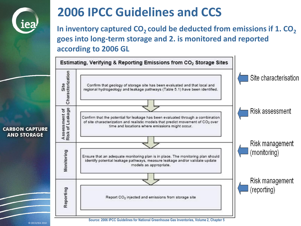

### **2006 IPCC Guidelines and CCS**

In inventory captured CO<sub>2</sub> could be deducted from emissions if 1. CO<sub>2</sub> **goes into long-term storage and 2. is monitored and reported according to 2006 GL**



**CARBON CAPTURE AND STORAGE** 

**Source: 2006 IPCC Guidelines for National Greenhouse Gas Inventories, Volume 2, Chapter 5**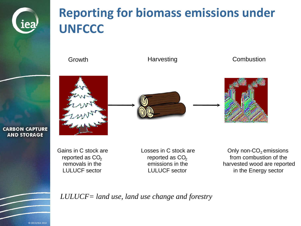

**CARBON CAPTURE AND STORAGE** 

# **Reporting for biomass emissions under UNFCCC**

Growth **Harvesting** Combustion

Losses in C stock are reported as  $CO<sub>2</sub>$ emissions in the

Gains in C stock are  $\begin{array}{ccc}\n\text{Leaves in C stock are} & \text{C stock are} & \text{Only non-CO}_2 \text{ emissions} \\
\text{reported as CO}_2 & \text{from combustion of the} & \text{in the} & \text{in the Energy sector} \\
\text{LULUCF sector} & \text{in the Energy sector}\n\end{array}$ 

*LULUCF= land use, land use change and forestry*

© OECD/IEA 2010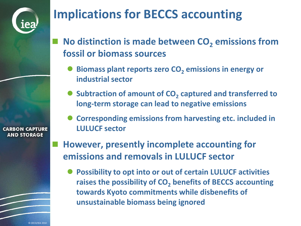# **Implications for BECCS accounting**

 **No distinction is made between CO<sup>2</sup> emissions from fossil or biomass sources**

- **Biomass plant reports zero CO<sup>2</sup> emissions in energy or industrial sector**
- Subtraction of amount of CO<sub>2</sub> captured and transferred to **long-term storage can lead to negative emissions**
- **Corresponding emissions from harvesting etc. included in LULUCF sector**
- **However, presently incomplete accounting for emissions and removals in LULUCF sector**
	- **Possibility to opt into or out of certain LULUCF activities raises the possibility of CO<sup>2</sup> benefits of BECCS accounting towards Kyoto commitments while disbenefits of unsustainable biomass being ignored**

**CARBON CAPTURE AND STORAGE**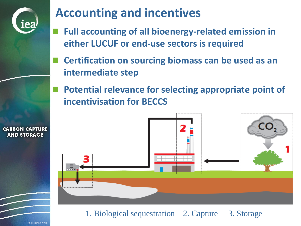

## **Accounting and incentives**

- **Full accounting of all bioenergy-related emission in either LUCUF or end-use sectors is required**
- **Certification on sourcing biomass can be used as an intermediate step**
- **Potential relevance for selecting appropriate point of incentivisation for BECCS**



1. Biological sequestration 2. Capture 3. Storage

**CARBON CAPTURE AND STORAGE**